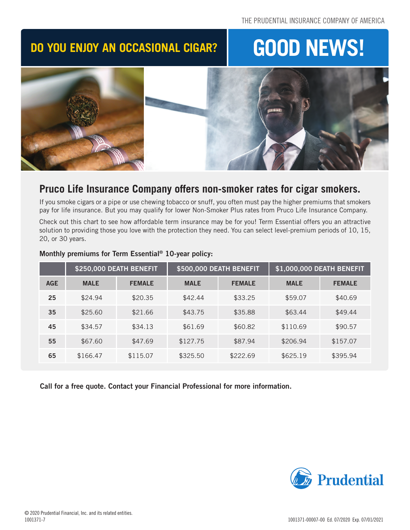# **DO YOU ENJOY AN OCCASIONAL CIGAR? GOOD NEWS!**



# **Pruco Life Insurance Company offers non-smoker rates for cigar smokers.**

If you smoke cigars or a pipe or use chewing tobacco or snuff, you often must pay the higher premiums that smokers pay for life insurance. But you may qualify for lower Non-Smoker Plus rates from Pruco Life Insurance Company.

Check out this chart to see how affordable term insurance may be for you! Term Essential offers you an attractive solution to providing those you love with the protection they need. You can select level-premium periods of 10, 15, 20, or 30 years.

|            | \$250,000 DEATH BENEFIT |               | \$500,000 DEATH BENEFIT |               | \$1,000,000 DEATH BENEFIT |               |
|------------|-------------------------|---------------|-------------------------|---------------|---------------------------|---------------|
| <b>AGE</b> | <b>MALE</b>             | <b>FEMALE</b> | <b>MALE</b>             | <b>FEMALE</b> | <b>MALE</b>               | <b>FEMALE</b> |
| 25         | \$24.94                 | \$20.35       | \$42.44                 | \$33.25       | \$59.07                   | \$40.69       |
| 35         | \$25.60                 | \$21.66       | \$43.75                 | \$35.88       | \$63.44                   | \$49.44       |
| 45         | \$34.57                 | \$34.13       | \$61.69                 | \$60.82       | \$110.69                  | \$90.57       |
| 55         | \$67.60                 | \$47.69       | \$127.75                | \$87.94       | \$206.94                  | \$157.07      |
| 65         | \$166.47                | \$115.07      | \$325.50                | \$222.69      | \$625.19                  | \$395.94      |

## Monthly premiums for Term Essential® 10-year policy:

Call for a free quote. Contact your Financial Professional for more information.